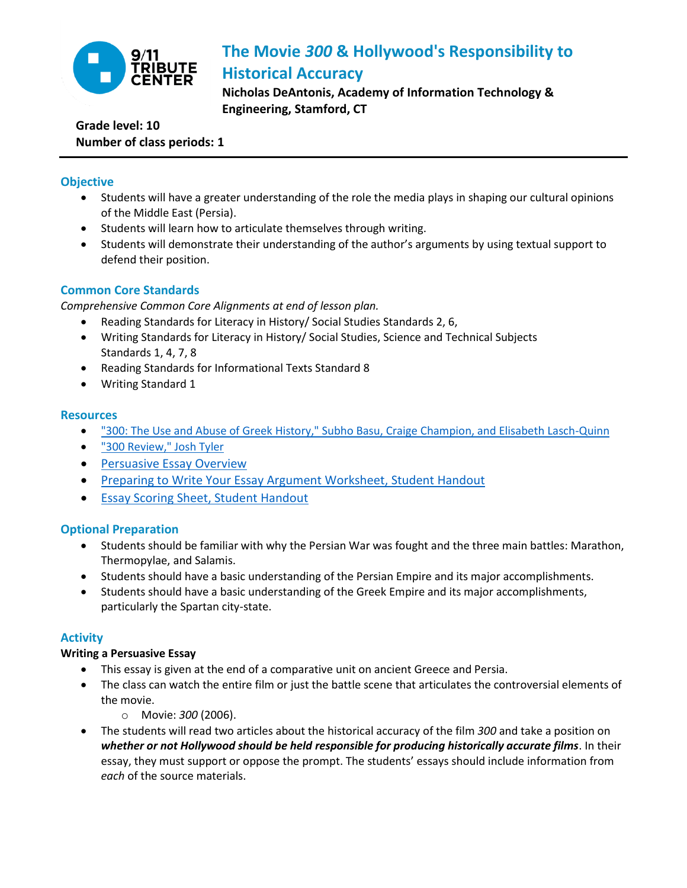

# **The Movie** *300* **& Hollywood's Responsibility to Historical Accuracy**

**Nicholas DeAntonis, Academy of Information Technology & Engineering, Stamford, CT** 

## **Grade level: 10 Number of class periods: 1**

## **Objective**

- Students will have a greater understanding of the role the media plays in shaping our cultural opinions of the Middle East (Persia).
- Students will learn how to articulate themselves through writing.
- Students will demonstrate their understanding of the author's arguments by using textual support to defend their position.

## **Common Core Standards**

*Comprehensive Common Core Alignments at end of lesson plan.*

- Reading Standards for Literacy in History/ Social Studies Standards 2, 6,
- Writing Standards for Literacy in History/ Social Studies, Science and Technical Subjects Standards 1, 4, 7, 8
- Reading Standards for Informational Texts Standard 8
- Writing Standard 1

### **Resources**

- ["300: The Use and Abuse of Greek History," Subho Basu, Craige Champion, and Elisabeth Lasch-Quinn](http://www.spiked-online.com/newsite/article/3918#.U5W5P9JdVIE)
- ["300 Review," Josh Tyler](http://www.cinemablend.com/reviews/300-2149.html)
- **•** [Persuasive Essay Overview](http://teaching911.tributewtc.org/content/uploads/2014/09/Negative-Stereotypes-HANDOUT-persuasiveessay.pdf)
- **[Preparing to Write Your Essay Argument Worksheet, Student Handout](http://teaching911.tributewtc.org/content/uploads/2014/08/Negative-Stereotypes-HANDOUT-argument.pdf)**
- **[Essay Scoring Sheet, Student Handout](http://teaching911.tributewtc.org/content/uploads/2014/08/Negative-Stereotypes-HANDOUT-scoring.pdf)**

## **Optional Preparation**

- Students should be familiar with why the Persian War was fought and the three main battles: Marathon, Thermopylae, and Salamis.
- Students should have a basic understanding of the Persian Empire and its major accomplishments.
- Students should have a basic understanding of the Greek Empire and its major accomplishments, particularly the Spartan city-state.

## **Activity**

## **Writing a Persuasive Essay**

- This essay is given at the end of a comparative unit on ancient Greece and Persia.
- The class can watch the entire film or just the battle scene that articulates the controversial elements of the movie.
	- o Movie: *300* (2006).
- The students will read two articles about the historical accuracy of the film *300* and take a position on *whether or not Hollywood should be held responsible for producing historically accurate films*. In their essay, they must support or oppose the prompt. The students' essays should include information from *each* of the source materials.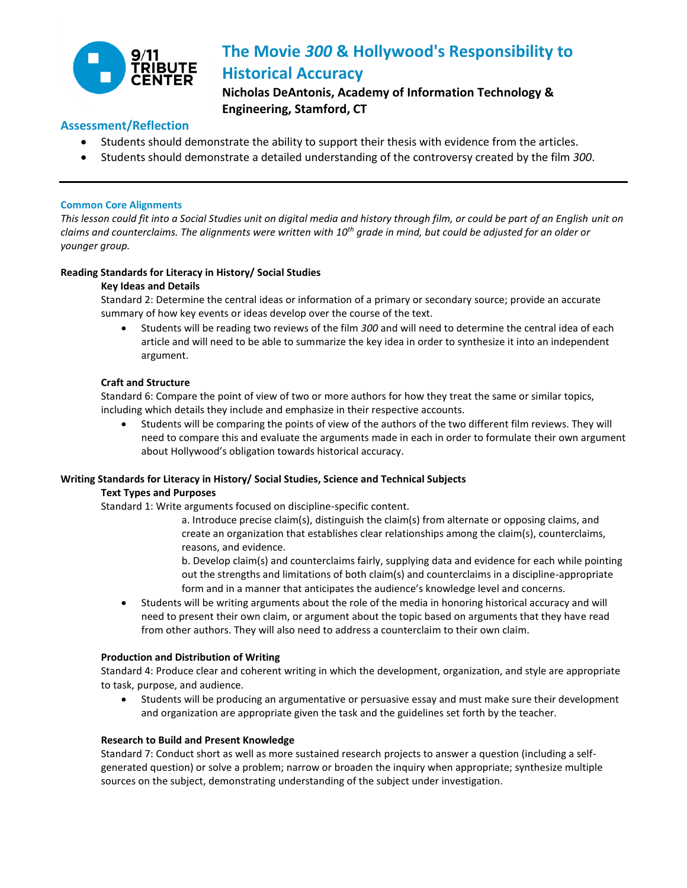

# **The Movie** *300* **& Hollywood's Responsibility to Historical Accuracy**

**Nicholas DeAntonis, Academy of Information Technology & Engineering, Stamford, CT** 

## **Assessment/Reflection**

- Students should demonstrate the ability to support their thesis with evidence from the articles.
- Students should demonstrate a detailed understanding of the controversy created by the film *300*.

#### **Common Core Alignments**

*This lesson could fit into a Social Studies unit on digital media and history through film, or could be part of an English unit on claims and counterclaims. The alignments were written with 10th grade in mind, but could be adjusted for an older or younger group.* 

#### **Reading Standards for Literacy in History/ Social Studies**

#### **Key Ideas and Details**

Standard 2: Determine the central ideas or information of a primary or secondary source; provide an accurate summary of how key events or ideas develop over the course of the text.

 Students will be reading two reviews of the film *300* and will need to determine the central idea of each article and will need to be able to summarize the key idea in order to synthesize it into an independent argument.

#### **Craft and Structure**

Standard 6: Compare the point of view of two or more authors for how they treat the same or similar topics, including which details they include and emphasize in their respective accounts.

 Students will be comparing the points of view of the authors of the two different film reviews. They will need to compare this and evaluate the arguments made in each in order to formulate their own argument about Hollywood's obligation towards historical accuracy.

#### **Writing Standards for Literacy in History/ Social Studies, Science and Technical Subjects**

#### **Text Types and Purposes**

Standard 1: Write arguments focused on discipline-specific content.

a. Introduce precise claim(s), distinguish the claim(s) from alternate or opposing claims, and create an organization that establishes clear relationships among the claim(s), counterclaims, reasons, and evidence.

b. Develop claim(s) and counterclaims fairly, supplying data and evidence for each while pointing out the strengths and limitations of both claim(s) and counterclaims in a discipline-appropriate form and in a manner that anticipates the audience's knowledge level and concerns.

 Students will be writing arguments about the role of the media in honoring historical accuracy and will need to present their own claim, or argument about the topic based on arguments that they have read from other authors. They will also need to address a counterclaim to their own claim.

#### **Production and Distribution of Writing**

Standard 4: Produce clear and coherent writing in which the development, organization, and style are appropriate to task, purpose, and audience.

 Students will be producing an argumentative or persuasive essay and must make sure their development and organization are appropriate given the task and the guidelines set forth by the teacher.

#### **Research to Build and Present Knowledge**

Standard 7: Conduct short as well as more sustained research projects to answer a question (including a selfgenerated question) or solve a problem; narrow or broaden the inquiry when appropriate; synthesize multiple sources on the subject, demonstrating understanding of the subject under investigation.